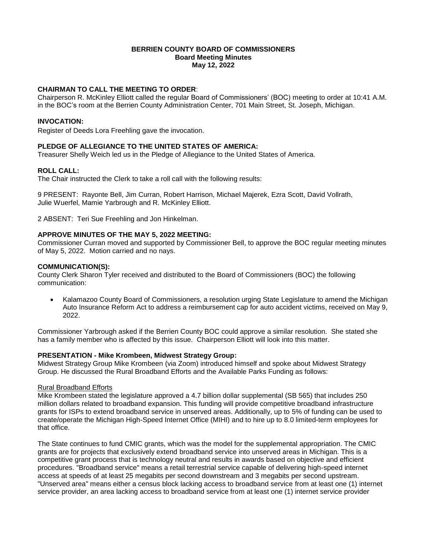### **BERRIEN COUNTY BOARD OF COMMISSIONERS Board Meeting Minutes May 12, 2022**

# **CHAIRMAN TO CALL THE MEETING TO ORDER**:

Chairperson R. McKinley Elliott called the regular Board of Commissioners' (BOC) meeting to order at 10:41 A.M. in the BOC's room at the Berrien County Administration Center, 701 Main Street, St. Joseph, Michigan.

## **INVOCATION:**

Register of Deeds Lora Freehling gave the invocation.

# **PLEDGE OF ALLEGIANCE TO THE UNITED STATES OF AMERICA:**

Treasurer Shelly Weich led us in the Pledge of Allegiance to the United States of America.

## **ROLL CALL:**

The Chair instructed the Clerk to take a roll call with the following results:

9 PRESENT: Rayonte Bell, Jim Curran, Robert Harrison, Michael Majerek, Ezra Scott, David Vollrath, Julie Wuerfel, Mamie Yarbrough and R. McKinley Elliott.

2 ABSENT: Teri Sue Freehling and Jon Hinkelman.

### **APPROVE MINUTES OF THE MAY 5, 2022 MEETING:**

Commissioner Curran moved and supported by Commissioner Bell, to approve the BOC regular meeting minutes of May 5, 2022. Motion carried and no nays.

### **COMMUNICATION(S):**

County Clerk Sharon Tyler received and distributed to the Board of Commissioners (BOC) the following communication:

 Kalamazoo County Board of Commissioners, a resolution urging State Legislature to amend the Michigan Auto Insurance Reform Act to address a reimbursement cap for auto accident victims, received on May 9, 2022.

Commissioner Yarbrough asked if the Berrien County BOC could approve a similar resolution. She stated she has a family member who is affected by this issue. Chairperson Elliott will look into this matter.

## **PRESENTATION - Mike Krombeen, Midwest Strategy Group:**

Midwest Strategy Group Mike Krombeen (via Zoom) introduced himself and spoke about Midwest Strategy Group. He discussed the Rural Broadband Efforts and the Available Parks Funding as follows:

### Rural Broadband Efforts

Mike Krombeen stated the legislature approved a 4.7 billion dollar supplemental (SB 565) that includes 250 million dollars related to broadband expansion. This funding will provide competitive broadband infrastructure grants for ISPs to extend broadband service in unserved areas. Additionally, up to 5% of funding can be used to create/operate the Michigan High-Speed Internet Office (MIHI) and to hire up to 8.0 limited-term employees for that office.

The State continues to fund CMIC grants, which was the model for the supplemental appropriation. The CMIC grants are for projects that exclusively extend broadband service into unserved areas in Michigan. This is a competitive grant process that is technology neutral and results in awards based on objective and efficient procedures. "Broadband service" means a retail terrestrial service capable of delivering high-speed internet access at speeds of at least 25 megabits per second downstream and 3 megabits per second upstream. "Unserved area" means either a census block lacking access to broadband service from at least one (1) internet service provider, an area lacking access to broadband service from at least one (1) internet service provider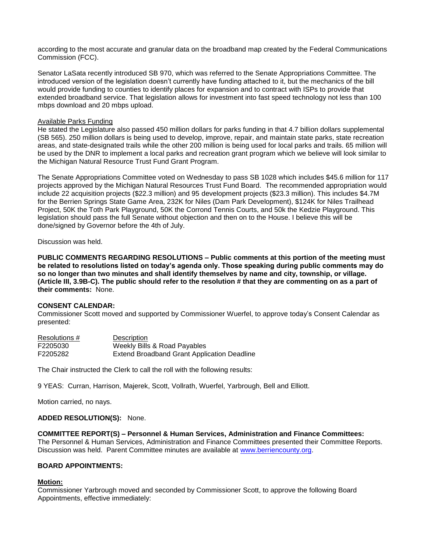according to the most accurate and granular data on the broadband map created by the Federal Communications Commission (FCC).

Senator LaSata recently introduced SB 970, which was referred to the Senate Appropriations Committee. The introduced version of the legislation doesn't currently have funding attached to it, but the mechanics of the bill would provide funding to counties to identify places for expansion and to contract with ISPs to provide that extended broadband service. That legislation allows for investment into fast speed technology not less than 100 mbps download and 20 mbps upload.

### Available Parks Funding

He stated the Legislature also passed 450 million dollars for parks funding in that 4.7 billion dollars supplemental (SB 565). 250 million dollars is being used to develop, improve, repair, and maintain state parks, state recreation areas, and state-designated trails while the other 200 million is being used for local parks and trails. 65 million will be used by the DNR to implement a local parks and recreation grant program which we believe will look similar to the Michigan Natural Resource Trust Fund Grant Program.

The Senate Appropriations Committee voted on Wednesday to pass SB 1028 which includes \$45.6 million for 117 projects approved by the Michigan Natural Resources Trust Fund Board. The recommended appropriation would include 22 acquisition projects (\$22.3 million) and 95 development projects (\$23.3 million). This includes \$4.7M for the Berrien Springs State Game Area, 232K for Niles (Dam Park Development), \$124K for Niles Trailhead Project, 50K the Toth Park Playground, 50K the Corrond Tennis Courts, and 50k the Kedzie Playground. This legislation should pass the full Senate without objection and then on to the House. I believe this will be done/signed by Governor before the 4th of July.

Discussion was held.

**PUBLIC COMMENTS REGARDING RESOLUTIONS – Public comments at this portion of the meeting must be related to resolutions listed on today's agenda only. Those speaking during public comments may do so no longer than two minutes and shall identify themselves by name and city, township, or village. (Article III, 3.9B-C). The public should refer to the resolution # that they are commenting on as a part of their comments:** None.

#### **CONSENT CALENDAR:**

Commissioner Scott moved and supported by Commissioner Wuerfel, to approve today's Consent Calendar as presented:

| Resolutions # | Description                                 |
|---------------|---------------------------------------------|
| F2205030      | Weekly Bills & Road Payables                |
| F2205282      | Extend Broadband Grant Application Deadline |

The Chair instructed the Clerk to call the roll with the following results:

9 YEAS: Curran, Harrison, Majerek, Scott, Vollrath, Wuerfel, Yarbrough, Bell and Elliott.

Motion carried, no nays.

## **ADDED RESOLUTION(S):** None.

**COMMITTEE REPORT(S) – Personnel & Human Services, Administration and Finance Committees:** The Personnel & Human Services, Administration and Finance Committees presented their Committee Reports. Discussion was held. Parent Committee minutes are available at [www.berriencounty.org.](http://www.berriencounty.org/)

## **BOARD APPOINTMENTS:**

#### **Motion:**

Commissioner Yarbrough moved and seconded by Commissioner Scott, to approve the following Board Appointments, effective immediately: